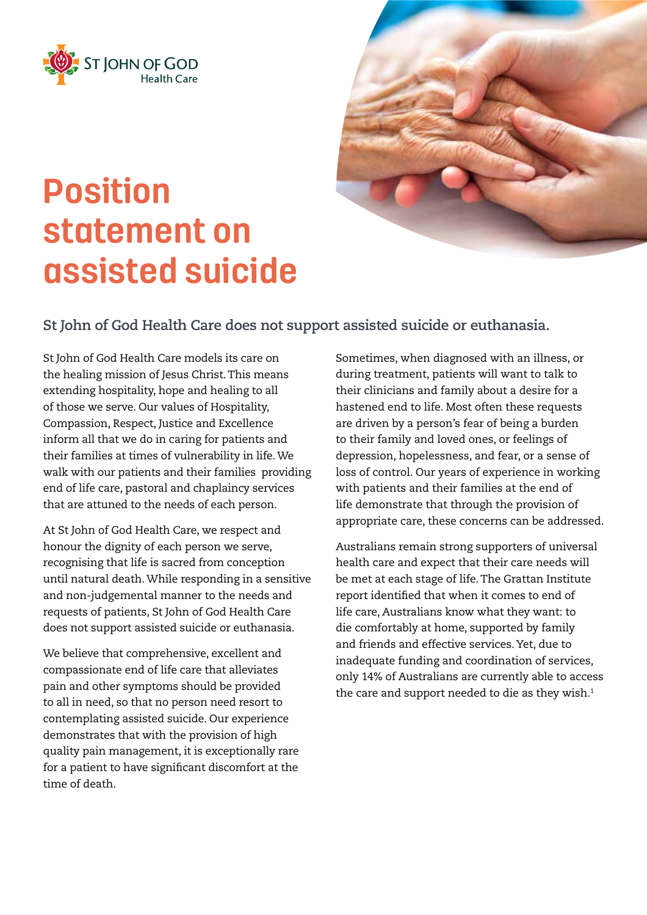

## **Position statement on assisted suicide**

## **St John of God Health Care does not support assisted suicide or euthanasia.**

St John of God Health Care models its care on the healing mission of Jesus Christ. This means extending hospitality, hope and healing to all of those we serve. Our values of Hospitality, Compassion, Respect, Justice and Excellence inform all that we do in caring for patients and their families at times of vulnerability in life. We walk with our patients and their families providing end of life care, pastoral and chaplaincy services that are attuned to the needs of each person.

At St John of God Health Care, we respect and honour the dignity of each person we serve, recognising that life is sacred from conception until natural death. While responding in a sensitive and non-judgemental manner to the needs and requests of patients, St John of God Health Care does not support assisted suicide or euthanasia.

We believe that comprehensive, excellent and compassionate end of life care that alleviates pain and other symptoms should be provided to all in need, so that no person need resort to contemplating assisted suicide. Our experience demonstrates that with the provision of high quality pain management, it is exceptionally rare for a patient to have significant discomfort at the time of death.

Sometimes, when diagnosed with an illness, or during treatment, patients will want to talk to their clinicians and family about a desire for a hastened end to life. Most often these requests are driven by a person's fear of being a burden to their family and loved ones, or feelings of depression, hopelessness, and fear, or a sense of loss of control. Our years of experience in working with patients and their families at the end of life demonstrate that through the provision of appropriate care, these concerns can be addressed.

Australians remain strong supporters of universal health care and expect that their care needs will be met at each stage of life. The Grattan Institute report identified that when it comes to end of life care, Australians know what they want: to die comfortably at home, supported by family and friends and effective services. Yet, due to inadequate funding and coordination of services, only 14% of Australians are currently able to access the care and support needed to die as they wish. $1$